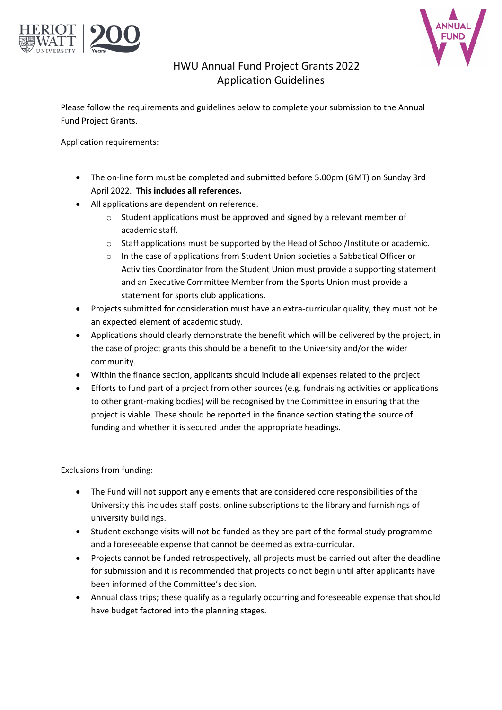



# HWU Annual Fund Project Grants 2022 Application Guidelines

Please follow the requirements and guidelines below to complete your submission to the Annual Fund Project Grants.

Application requirements:

- The on-line form must be completed and submitted before 5.00pm (GMT) on Sunday 3rd April 2022. **This includes all references.**
- All applications are dependent on reference.
	- o Student applications must be approved and signed by a relevant member of academic staff.
	- $\circ$  Staff applications must be supported by the Head of School/Institute or academic.
	- o In the case of applications from Student Union societies a Sabbatical Officer or Activities Coordinator from the Student Union must provide a supporting statement and an Executive Committee Member from the Sports Union must provide a statement for sports club applications.
- Projects submitted for consideration must have an extra-curricular quality, they must not be an expected element of academic study.
- Applications should clearly demonstrate the benefit which will be delivered by the project, in the case of project grants this should be a benefit to the University and/or the wider community.
- Within the finance section, applicants should include **all** expenses related to the project
- Efforts to fund part of a project from other sources (e.g. fundraising activities or applications to other grant-making bodies) will be recognised by the Committee in ensuring that the project is viable. These should be reported in the finance section stating the source of funding and whether it is secured under the appropriate headings.

Exclusions from funding:

- The Fund will not support any elements that are considered core responsibilities of the University this includes staff posts, online subscriptions to the library and furnishings of university buildings.
- Student exchange visits will not be funded as they are part of the formal study programme and a foreseeable expense that cannot be deemed as extra-curricular.
- Projects cannot be funded retrospectively, all projects must be carried out after the deadline for submission and it is recommended that projects do not begin until after applicants have been informed of the Committee's decision.
- Annual class trips; these qualify as a regularly occurring and foreseeable expense that should have budget factored into the planning stages.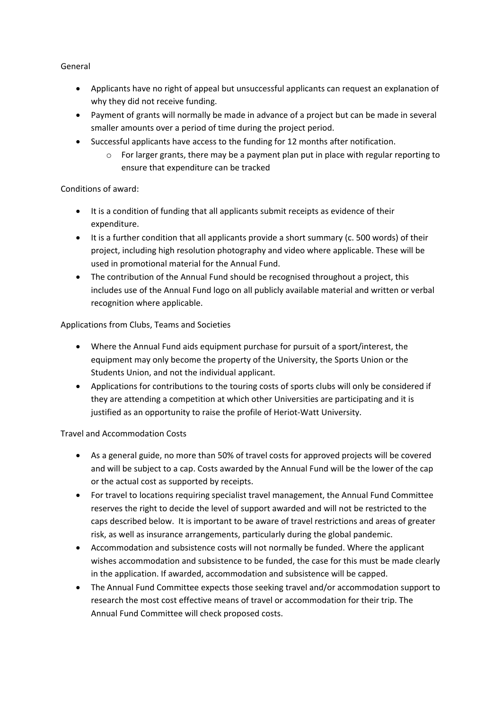General

- Applicants have no right of appeal but unsuccessful applicants can request an explanation of why they did not receive funding.
- Payment of grants will normally be made in advance of a project but can be made in several smaller amounts over a period of time during the project period.
- Successful applicants have access to the funding for 12 months after notification.
	- $\circ$  For larger grants, there may be a payment plan put in place with regular reporting to ensure that expenditure can be tracked

### Conditions of award:

- It is a condition of funding that all applicants submit receipts as evidence of their expenditure.
- It is a further condition that all applicants provide a short summary (c. 500 words) of their project, including high resolution photography and video where applicable. These will be used in promotional material for the Annual Fund.
- The contribution of the Annual Fund should be recognised throughout a project, this includes use of the Annual Fund logo on all publicly available material and written or verbal recognition where applicable.

### Applications from Clubs, Teams and Societies

- Where the Annual Fund aids equipment purchase for pursuit of a sport/interest, the equipment may only become the property of the University, the Sports Union or the Students Union, and not the individual applicant.
- Applications for contributions to the touring costs of sports clubs will only be considered if they are attending a competition at which other Universities are participating and it is justified as an opportunity to raise the profile of Heriot-Watt University.

### Travel and Accommodation Costs

- As a general guide, no more than 50% of travel costs for approved projects will be covered and will be subject to a cap. Costs awarded by the Annual Fund will be the lower of the cap or the actual cost as supported by receipts.
- For travel to locations requiring specialist travel management, the Annual Fund Committee reserves the right to decide the level of support awarded and will not be restricted to the caps described below. It is important to be aware of travel restrictions and areas of greater risk, as well as insurance arrangements, particularly during the global pandemic.
- Accommodation and subsistence costs will not normally be funded. Where the applicant wishes accommodation and subsistence to be funded, the case for this must be made clearly in the application. If awarded, accommodation and subsistence will be capped.
- The Annual Fund Committee expects those seeking travel and/or accommodation support to research the most cost effective means of travel or accommodation for their trip. The Annual Fund Committee will check proposed costs.